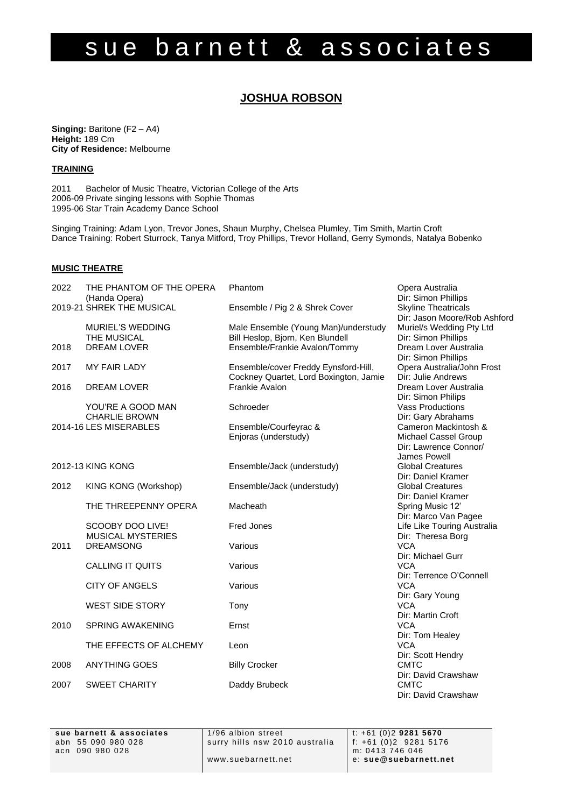# sue barnett & associates

# **JOSHUA ROBSON**

**Singing: Baritone (F2 – A4) Height:** 189 Cm **City of Residence:** Melbourne

# **TRAINING**

2011 Bachelor of Music Theatre, Victorian College of the Arts 2006-09 Private singing lessons with Sophie Thomas 1995-06 Star Train Academy Dance School

Singing Training: Adam Lyon, Trevor Jones, Shaun Murphy, Chelsea Plumley, Tim Smith, Martin Croft Dance Training: Robert Sturrock, Tanya Mitford, Troy Phillips, Trevor Holland, Gerry Symonds, Natalya Bobenko

# **MUSIC THEATRE**

| 2022              | THE PHANTOM OF THE OPERA                   | Phantom                                | Opera Australia                                   |
|-------------------|--------------------------------------------|----------------------------------------|---------------------------------------------------|
|                   | (Handa Opera)<br>2019-21 SHREK THE MUSICAL | Ensemble / Pig 2 & Shrek Cover         | Dir: Simon Phillips<br><b>Skyline Theatricals</b> |
|                   |                                            |                                        | Dir: Jason Moore/Rob Ashford                      |
|                   | <b>MURIEL'S WEDDING</b>                    | Male Ensemble (Young Man)/understudy   | Muriel/s Wedding Pty Ltd                          |
|                   | THE MUSICAL                                | Bill Heslop, Bjorn, Ken Blundell       | Dir: Simon Phillips                               |
| 2018              | <b>DREAM LOVER</b>                         | Ensemble/Frankie Avalon/Tommy          | Dream Lover Australia                             |
|                   |                                            |                                        | Dir: Simon Phillips                               |
| 2017              | <b>MY FAIR LADY</b>                        | Ensemble/cover Freddy Eynsford-Hill,   | Opera Australia/John Frost                        |
|                   |                                            | Cockney Quartet, Lord Boxington, Jamie | Dir: Julie Andrews                                |
| 2016              | <b>DREAM LOVER</b>                         | <b>Frankie Avalon</b>                  | Dream Lover Australia                             |
|                   |                                            |                                        | Dir: Simon Philips                                |
|                   | YOU'RE A GOOD MAN                          | Schroeder                              | <b>Vass Productions</b>                           |
|                   | <b>CHARLIE BROWN</b>                       |                                        | Dir: Gary Abrahams                                |
|                   | 2014-16 LES MISERABLES                     | Ensemble/Courfeyrac &                  | Cameron Mackintosh &                              |
|                   |                                            | Enjoras (understudy)                   | Michael Cassel Group                              |
|                   |                                            |                                        | Dir: Lawrence Connor/                             |
|                   |                                            |                                        | James Powell                                      |
| 2012-13 KING KONG |                                            | Ensemble/Jack (understudy)             | <b>Global Creatures</b>                           |
|                   |                                            |                                        | Dir: Daniel Kramer                                |
| 2012              |                                            | Ensemble/Jack (understudy)             | <b>Global Creatures</b>                           |
|                   | KING KONG (Workshop)                       |                                        | Dir: Daniel Kramer                                |
|                   | THE THREEPENNY OPERA                       | Macheath                               | Spring Music 12'                                  |
|                   |                                            |                                        | Dir: Marco Van Pagee                              |
|                   | SCOOBY DOO LIVE!                           | <b>Fred Jones</b>                      | Life Like Touring Australia                       |
|                   | <b>MUSICAL MYSTERIES</b>                   |                                        | Dir: Theresa Borg                                 |
| 2011              | <b>DREAMSONG</b>                           | Various                                | <b>VCA</b>                                        |
|                   |                                            |                                        | Dir: Michael Gurr                                 |
|                   | <b>CALLING IT QUITS</b>                    | Various                                | <b>VCA</b>                                        |
|                   |                                            |                                        | Dir: Terrence O'Connell                           |
|                   | <b>CITY OF ANGELS</b>                      | Various                                | <b>VCA</b>                                        |
|                   |                                            |                                        | Dir: Gary Young                                   |
|                   | <b>WEST SIDE STORY</b>                     | Tony                                   | <b>VCA</b>                                        |
|                   |                                            |                                        | Dir: Martin Croft                                 |
| 2010              | <b>SPRING AWAKENING</b>                    | Ernst                                  | <b>VCA</b>                                        |
|                   |                                            |                                        | Dir: Tom Healey                                   |
|                   | THE EFFECTS OF ALCHEMY                     | Leon                                   | <b>VCA</b>                                        |
|                   |                                            |                                        | Dir: Scott Hendry                                 |
| 2008              | <b>ANYTHING GOES</b>                       | <b>Billy Crocker</b>                   | <b>CMTC</b>                                       |
|                   |                                            |                                        | Dir: David Crawshaw                               |
| 2007              | <b>SWEET CHARITY</b>                       | Daddy Brubeck                          | <b>CMTC</b>                                       |
|                   |                                            |                                        | Dir: David Crawshaw                               |
|                   |                                            |                                        |                                                   |